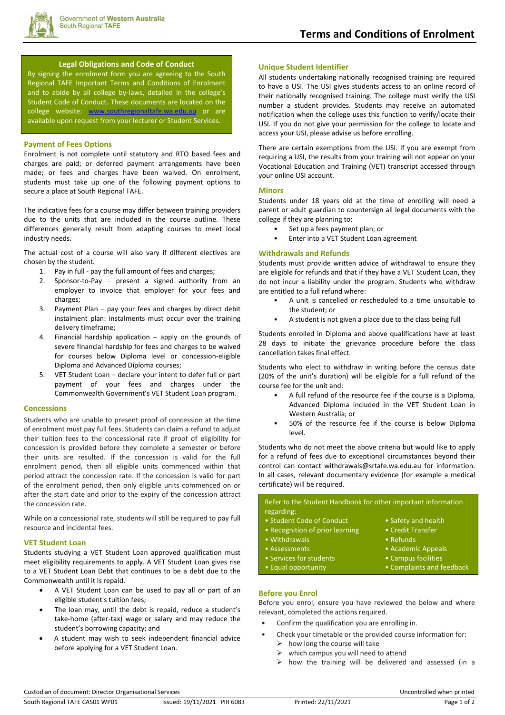

### **Legal Obligations and Code of Conduct**

By signing the enrolment form you are agreeing to the South Regional TAFE Important Terms and Conditions of Enrolment and to abide by all college by-laws, detailed in the college's Student Code of Conduct. These documents are located on the college website: [www.southregionaltafe.wa.edu.au](http://www.southregionaltafe.wa.edu.au/) or are available upon request from your lecturer or Student Services.

# **Payment of Fees Options**

Enrolment is not complete until statutory and RTO based fees and charges are paid; or deferred payment arrangements have been made; or fees and charges have been waived. On enrolment, students must take up one of the following payment options to secure a place at South Regional TAFE.

The indicative fees for a course may differ between training providers due to the units that are included in the course outline. These differences generally result from adapting courses to meet local industry needs.

The actual cost of a course will also vary if different electives are chosen by the student.

- 1. Pay in full pay the full amount of fees and charges;
- 2. Sponsor-to-Pay present a signed authority from an employer to invoice that employer for your fees and charges;
- 3. Payment Plan pay your fees and charges by direct debit instalment plan: instalments must occur over the training delivery timeframe;
- 4. Financial hardship application apply on the grounds of severe financial hardship for fees and charges to be waived for courses below Diploma level or concession-eligible Diploma and Advanced Diploma courses;
- 5. VET Student Loan declare your intent to defer full or part payment of your fees and charges under the Commonwealth Government's VET Student Loan program.

# **Concessions**

Students who are unable to present proof of concession at the time of enrolment must pay full fees. Students can claim a refund to adjust their tuition fees to the concessional rate if proof of eligibility for concession is provided before they complete a semester or before their units are resulted. If the concession is valid for the full enrolment period, then all eligible units commenced within that period attract the concession rate. If the concession is valid for part of the enrolment period, then only eligible units commenced on or after the start date and prior to the expiry of the concession attract the concession rate.

While on a concessional rate, students will still be required to pay full resource and incidental fees.

#### **VET Student Loan**

Students studying a VET Student Loan approved qualification must meet eligibility requirements to apply. A VET Student Loan gives rise to a VET Student Loan Debt that continues to be a debt due to the Commonwealth until it is repaid.

- A VET Student Loan can be used to pay all or part of an eligible student's tuition fees;
- The loan may, until the debt is repaid, reduce a student's take-home (after-tax) wage or salary and may reduce the student's borrowing capacity; and
- A student may wish to seek independent financial advice before applying for a VET Student Loan.

## **Unique Student Identifier**

All students undertaking nationally recognised training are required to have a USI. The USI gives students access to an online record of their nationally recognised training. The college must verify the USI number a student provides. Students may receive an automated notification when the college uses this function to verify/locate their USI. If you do not give your permission for the college to locate and access your USI, please advise us before enrolling.

There are certain exemptions from the USI. If you are exempt from requiring a USI, the results from your training will not appear on your Vocational Education and Training (VET) transcript accessed through your online USI account.

#### **Minors**

Students under 18 years old at the time of enrolling will need a parent or adult guardian to countersign all legal documents with the college if they are planning to:

- Set up a fees payment plan; or
- Enter into a VET Student Loan agreement

## **Withdrawals and Refunds**

Students must provide written advice of withdrawal to ensure they are eligible for refunds and that if they have a VET Student Loan, they do not incur a liability under the program. Students who withdraw are entitled to a full refund where:

- A unit is cancelled or rescheduled to a time unsuitable to the student; or
- A student is not given a place due to the class being full

Students enrolled in Diploma and above qualifications have at least 28 days to initiate the grievance procedure before the class cancellation takes final effect.

Students who elect to withdraw in writing before the census date (20% of the unit's duration) will be eligible for a full refund of the course fee for the unit and:

- A full refund of the resource fee if the course is a Diploma, Advanced Diploma included in the VET Student Loan in Western Australia; or
- 50% of the resource fee if the course is below Diploma level.

Students who do not meet the above criteria but would like to apply for a refund of fees due to exceptional circumstances beyond their control can contact withdrawals@srtafe.wa.edu.au for information. In all cases, relevant documentary evidence (for example a medical certificate) will be required.

Refer to the Student Handbook for other important information regarding: • Student Code of Conduct • Safety and health • Recognition of prior learning • Credit Transfer • Withdrawals • **Withdrawals** • Refunds

- 
- Assessments Academic Appeals
- Services for students Campus facilities
- Equal opportunity Complaints and feedback
- **Before you Enrol** Before you enrol, ensure you have reviewed the below and where relevant, completed the actions required.
- Confirm the qualification you are enrolling in.
- Check your timetable or the provided course information for:
	- $\triangleright$  how long the course will take
	- which campus you will need to attend
	- $\triangleright$  how the training will be delivered and assessed (in a